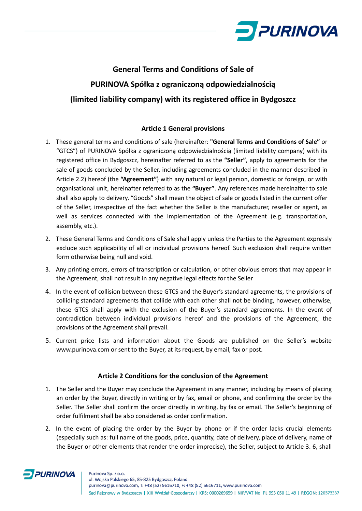

# **General Terms and Conditions of Sale of PURINOVA Spółka z ograniczoną odpowiedzialnością (limited liability company) with its registered office in Bydgoszcz**

# **Article 1 General provisions**

- 1. These general terms and conditions of sale (hereinafter: **"General Terms and Conditions of Sale"** or "GTCS") of PURINOVA Spółka z ograniczoną odpowiedzialnością (limited liability company) with its registered office in Bydgoszcz, hereinafter referred to as the **"Seller"**, apply to agreements for the sale of goods concluded by the Seller, including agreements concluded in the manner described in Article 2.2) hereof (the **"Agreement"**) with any natural or legal person, domestic or foreign, or with organisational unit, hereinafter referred to as the **"Buyer"**. Any references made hereinafter to sale shall also apply to delivery. "Goods" shall mean the object of sale or goods listed in the current offer of the Seller, irrespective of the fact whether the Seller is the manufacturer, reseller or agent, as well as services connected with the implementation of the Agreement (e.g. transportation, assembly, etc.).
- 2. These General Terms and Conditions of Sale shall apply unless the Parties to the Agreement expressly exclude such applicability of all or individual provisions hereof. Such exclusion shall require written form otherwise being null and void.
- 3. Any printing errors, errors of transcription or calculation, or other obvious errors that may appear in the Agreement, shall not result in any negative legal effects for the Seller
- 4. In the event of collision between these GTCS and the Buyer's standard agreements, the provisions of colliding standard agreements that collide with each other shall not be binding, however, otherwise, these GTCS shall apply with the exclusion of the Buyer's standard agreements. In the event of contradiction between individual provisions hereof and the provisions of the Agreement, the provisions of the Agreement shall prevail.
- 5. Current price lists and information about the Goods are published on the Seller's website www.purinova.com or sent to the Buyer, at its request, by email, fax or post.

## **Article 2 Conditions for the conclusion of the Agreement**

- 1. The Seller and the Buyer may conclude the Agreement in any manner, including by means of placing an order by the Buyer, directly in writing or by fax, email or phone, and confirming the order by the Seller. The Seller shall confirm the order directly in writing, by fax or email. The Seller's beginning of order fulfilment shall be also considered as order confirmation.
- 2. In the event of placing the order by the Buyer by phone or if the order lacks crucial elements (especially such as: full name of the goods, price, quantity, date of delivery, place of delivery, name of the Buyer or other elements that render the order imprecise), the Seller, subject to Article 3. 6, shall

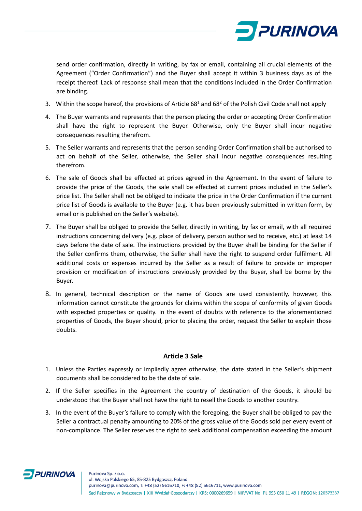

send order confirmation, directly in writing, by fax or email, containing all crucial elements of the Agreement ("Order Confirmation") and the Buyer shall accept it within 3 business days as of the receipt thereof. Lack of response shall mean that the conditions included in the Order Confirmation are binding.

- 3. Within the scope hereof, the provisions of Article  $68<sup>1</sup>$  and  $68<sup>2</sup>$  of the Polish Civil Code shall not apply
- 4. The Buyer warrants and represents that the person placing the order or accepting Order Confirmation shall have the right to represent the Buyer. Otherwise, only the Buyer shall incur negative consequences resulting therefrom.
- 5. The Seller warrants and represents that the person sending Order Confirmation shall be authorised to act on behalf of the Seller, otherwise, the Seller shall incur negative consequences resulting therefrom.
- 6. The sale of Goods shall be effected at prices agreed in the Agreement. In the event of failure to provide the price of the Goods, the sale shall be effected at current prices included in the Seller's price list. The Seller shall not be obliged to indicate the price in the Order Confirmation if the current price list of Goods is available to the Buyer (e.g. it has been previously submitted in written form, by email or is published on the Seller's website).
- 7. The Buyer shall be obliged to provide the Seller, directly in writing, by fax or email, with all required instructions concerning delivery (e.g. place of delivery, person authorised to receive, etc.) at least 14 days before the date of sale. The instructions provided by the Buyer shall be binding for the Seller if the Seller confirms them, otherwise, the Seller shall have the right to suspend order fulfilment. All additional costs or expenses incurred by the Seller as a result of failure to provide or improper provision or modification of instructions previously provided by the Buyer, shall be borne by the Buyer.
- 8. In general, technical description or the name of Goods are used consistently, however, this information cannot constitute the grounds for claims within the scope of conformity of given Goods with expected properties or quality. In the event of doubts with reference to the aforementioned properties of Goods, the Buyer should, prior to placing the order, request the Seller to explain those doubts.

### **Article 3 Sale**

- 1. Unless the Parties expressly or impliedly agree otherwise, the date stated in the Seller's shipment documents shall be considered to be the date of sale.
- 2. If the Seller specifies in the Agreement the country of destination of the Goods, it should be understood that the Buyer shall not have the right to resell the Goods to another country.
- 3. In the event of the Buyer's failure to comply with the foregoing, the Buyer shall be obliged to pay the Seller a contractual penalty amounting to 20% of the gross value of the Goods sold per every event of non-compliance. The Seller reserves the right to seek additional compensation exceeding the amount

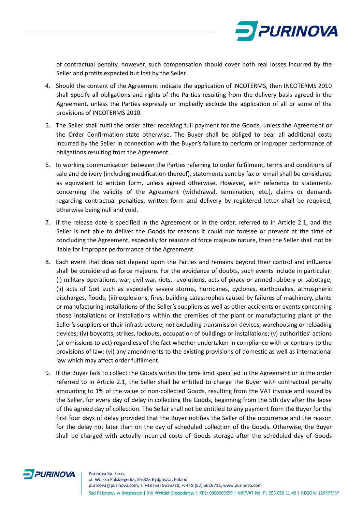

of contractual penalty, however, such compensation should cover both real losses incurred by the Seller and profits expected but lost by the Seller.

- 4. Should the content of the Agreement indicate the application of INCOTERMS, then INCOTERMS 2010 shall specify all obligations and rights of the Parties resulting from the delivery basis agreed in the Agreement, unless the Parties expressly or impliedly exclude the application of all or some of the provisions of INCOTERMS 2010.
- 5. The Seller shall fulfil the order after receiving full payment for the Goods, unless the Agreement or the Order Confirmation state otherwise. The Buyer shall be obliged to bear all additional costs incurred by the Seller in connection with the Buyer's failure to perform or improper performance of obligations resulting from the Agreement.
- 6. In working communication between the Parties referring to order fulfilment, terms and conditions of sale and delivery (including modification thereof), statements sent by fax or email shall be considered as equivalent to written form, unless agreed otherwise. However, with reference to statements concerning the validity of the Agreement (withdrawal, termination, etc.), claims or demands regarding contractual penalties, written form and delivery by registered letter shall be required, otherwise being null and void.
- 7. If the release date is specified in the Agreement or in the order, referred to in Article 2.1, and the Seller is not able to deliver the Goods for reasons it could not foresee or prevent at the time of concluding the Agreement, especially for reasons of force majeure nature, then the Seller shall not be liable for improper performance of the Agreement.
- 8. Each event that does not depend upon the Parties and remains beyond their control and influence shall be considered as force majeure. For the avoidance of doubts, such events include in particular: (i) military operations, war, civil war, riots, revolutions, acts of piracy or armed robbery or sabotage; (ii) acts of God such as especially severe storms, hurricanes, cyclones, earthquakes, atmospheric discharges, floods; (iii) explosions, fires, building catastrophes caused by failures of machinery, plants or manufacturing installations of the Seller's suppliers as well as other accidents or events concerning those installations or installations within the premises of the plant or manufacturing plant of the Seller's suppliers or their infrastructure, not excluding transmission devices, warehousing or reloading devices; (iv) boycotts, strikes, lockouts, occupation of buildings or installations; (v) authorities' actions (or omissions to act) regardless of the fact whether undertaken in compliance with or contrary to the provisions of law; (vi) any amendments to the existing provisions of domestic as well as international law which may affect order fulfilment.
- 9. If the Buyer fails to collect the Goods within the time limit specified in the Agreement or in the order referred to in Article 2.1, the Seller shall be entitled to charge the Buyer with contractual penalty amounting to 1% of the value of non-collected Goods, resulting from the VAT invoice and issued by the Seller, for every day of delay in collecting the Goods, beginning from the 5th day after the lapse of the agreed day of collection. The Seller shall not be entitled to any payment from the Buyer for the first four days of delay provided that the Buyer notifies the Seller of the occurrence and the reason for the delay not later than on the day of scheduled collection of the Goods. Otherwise, the Buyer shall be charged with actually incurred costs of Goods storage after the scheduled day of Goods

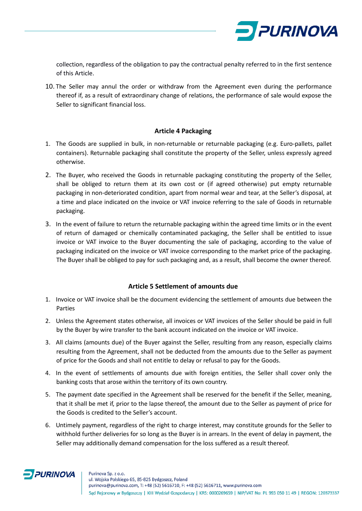

collection, regardless of the obligation to pay the contractual penalty referred to in the first sentence of this Article.

10. The Seller may annul the order or withdraw from the Agreement even during the performance thereof if, as a result of extraordinary change of relations, the performance of sale would expose the Seller to significant financial loss.

## **Article 4 Packaging**

- 1. The Goods are supplied in bulk, in non-returnable or returnable packaging (e.g. Euro-pallets, pallet containers). Returnable packaging shall constitute the property of the Seller, unless expressly agreed otherwise.
- 2. The Buyer, who received the Goods in returnable packaging constituting the property of the Seller, shall be obliged to return them at its own cost or (if agreed otherwise) put empty returnable packaging in non-deteriorated condition, apart from normal wear and tear, at the Seller's disposal, at a time and place indicated on the invoice or VAT invoice referring to the sale of Goods in returnable packaging.
- 3. In the event of failure to return the returnable packaging within the agreed time limits or in the event of return of damaged or chemically contaminated packaging, the Seller shall be entitled to issue invoice or VAT invoice to the Buyer documenting the sale of packaging, according to the value of packaging indicated on the invoice or VAT invoice corresponding to the market price of the packaging. The Buyer shall be obliged to pay for such packaging and, as a result, shall become the owner thereof.

# **Article 5 Settlement of amounts due**

- 1. Invoice or VAT invoice shall be the document evidencing the settlement of amounts due between the Parties
- 2. Unless the Agreement states otherwise, all invoices or VAT invoices of the Seller should be paid in full by the Buyer by wire transfer to the bank account indicated on the invoice or VAT invoice.
- 3. All claims (amounts due) of the Buyer against the Seller, resulting from any reason, especially claims resulting from the Agreement, shall not be deducted from the amounts due to the Seller as payment of price for the Goods and shall not entitle to delay or refusal to pay for the Goods.
- 4. In the event of settlements of amounts due with foreign entities, the Seller shall cover only the banking costs that arose within the territory of its own country.
- 5. The payment date specified in the Agreement shall be reserved for the benefit if the Seller, meaning, that it shall be met if, prior to the lapse thereof, the amount due to the Seller as payment of price for the Goods is credited to the Seller's account.
- 6. Untimely payment, regardless of the right to charge interest, may constitute grounds for the Seller to withhold further deliveries for so long as the Buyer is in arrears. In the event of delay in payment, the Seller may additionally demand compensation for the loss suffered as a result thereof.

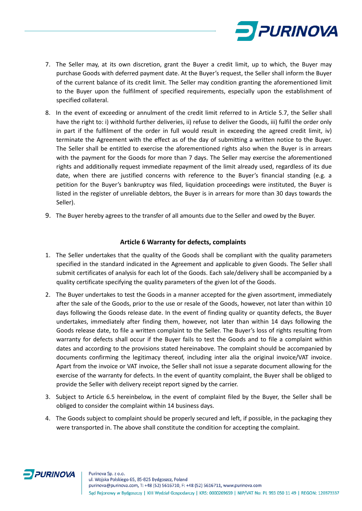

- 7. The Seller may, at its own discretion, grant the Buyer a credit limit, up to which, the Buyer may purchase Goods with deferred payment date. At the Buyer's request, the Seller shall inform the Buyer of the current balance of its credit limit. The Seller may condition granting the aforementioned limit to the Buyer upon the fulfilment of specified requirements, especially upon the establishment of specified collateral.
- 8. In the event of exceeding or annulment of the credit limit referred to in Article 5.7, the Seller shall have the right to: i) withhold further deliveries, ii) refuse to deliver the Goods, iii) fulfil the order only in part if the fulfilment of the order in full would result in exceeding the agreed credit limit, iv) terminate the Agreement with the effect as of the day of submitting a written notice to the Buyer. The Seller shall be entitled to exercise the aforementioned rights also when the Buyer is in arrears with the payment for the Goods for more than 7 days. The Seller may exercise the aforementioned rights and additionally request immediate repayment of the limit already used, regardless of its due date, when there are justified concerns with reference to the Buyer's financial standing (e.g. a petition for the Buyer's bankruptcy was filed, liquidation proceedings were instituted, the Buyer is listed in the register of unreliable debtors, the Buyer is in arrears for more than 30 days towards the Seller).
- 9. The Buyer hereby agrees to the transfer of all amounts due to the Seller and owed by the Buyer.

## **Article 6 Warranty for defects, complaints**

- 1. The Seller undertakes that the quality of the Goods shall be compliant with the quality parameters specified in the standard indicated in the Agreement and applicable to given Goods. The Seller shall submit certificates of analysis for each lot of the Goods. Each sale/delivery shall be accompanied by a quality certificate specifying the quality parameters of the given lot of the Goods.
- 2. The Buyer undertakes to test the Goods in a manner accepted for the given assortment, immediately after the sale of the Goods, prior to the use or resale of the Goods, however, not later than within 10 days following the Goods release date. In the event of finding quality or quantity defects, the Buyer undertakes, immediately after finding them, however, not later than within 14 days following the Goods release date, to file a written complaint to the Seller. The Buyer's loss of rights resulting from warranty for defects shall occur if the Buyer fails to test the Goods and to file a complaint within dates and according to the provisions stated hereinabove. The complaint should be accompanied by documents confirming the legitimacy thereof, including inter alia the original invoice/VAT invoice. Apart from the invoice or VAT invoice, the Seller shall not issue a separate document allowing for the exercise of the warranty for defects. In the event of quantity complaint, the Buyer shall be obliged to provide the Seller with delivery receipt report signed by the carrier.
- 3. Subject to Article 6.5 hereinbelow, in the event of complaint filed by the Buyer, the Seller shall be obliged to consider the complaint within 14 business days.
- 4. The Goods subject to complaint should be properly secured and left, if possible, in the packaging they were transported in. The above shall constitute the condition for accepting the complaint.

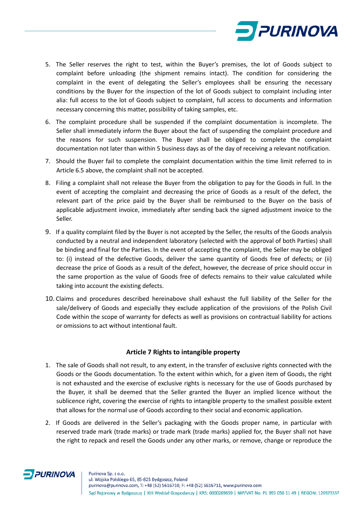

- 5. The Seller reserves the right to test, within the Buyer's premises, the lot of Goods subject to complaint before unloading (the shipment remains intact). The condition for considering the complaint in the event of delegating the Seller's employees shall be ensuring the necessary conditions by the Buyer for the inspection of the lot of Goods subject to complaint including inter alia: full access to the lot of Goods subject to complaint, full access to documents and information necessary concerning this matter, possibility of taking samples, etc.
- 6. The complaint procedure shall be suspended if the complaint documentation is incomplete. The Seller shall immediately inform the Buyer about the fact of suspending the complaint procedure and the reasons for such suspension. The Buyer shall be obliged to complete the complaint documentation not later than within 5 business days as of the day of receiving a relevant notification.
- 7. Should the Buyer fail to complete the complaint documentation within the time limit referred to in Article 6.5 above, the complaint shall not be accepted.
- 8. Filing a complaint shall not release the Buyer from the obligation to pay for the Goods in full. In the event of accepting the complaint and decreasing the price of Goods as a result of the defect, the relevant part of the price paid by the Buyer shall be reimbursed to the Buyer on the basis of applicable adjustment invoice, immediately after sending back the signed adjustment invoice to the Seller.
- 9. If a quality complaint filed by the Buyer is not accepted by the Seller, the results of the Goods analysis conducted by a neutral and independent laboratory (selected with the approval of both Parties) shall be binding and final for the Parties. In the event of accepting the complaint, the Seller may be obliged to: (i) instead of the defective Goods, deliver the same quantity of Goods free of defects; or (ii) decrease the price of Goods as a result of the defect, however, the decrease of price should occur in the same proportion as the value of Goods free of defects remains to their value calculated while taking into account the existing defects.
- 10. Claims and procedures described hereinabove shall exhaust the full liability of the Seller for the sale/delivery of Goods and especially they exclude application of the provisions of the Polish Civil Code within the scope of warranty for defects as well as provisions on contractual liability for actions or omissions to act without intentional fault.

### **Article 7 Rights to intangible property**

- 1. The sale of Goods shall not result, to any extent, in the transfer of exclusive rights connected with the Goods or the Goods documentation. To the extent within which, for a given item of Goods, the right is not exhausted and the exercise of exclusive rights is necessary for the use of Goods purchased by the Buyer, it shall be deemed that the Seller granted the Buyer an implied licence without the sublicence right, covering the exercise of rights to intangible property to the smallest possible extent that allows for the normal use of Goods according to their social and economic application.
- 2. If Goods are delivered in the Seller's packaging with the Goods proper name, in particular with reserved trade mark (trade marks) or trade mark (trade marks) applied for, the Buyer shall not have the right to repack and resell the Goods under any other marks, or remove, change or reproduce the

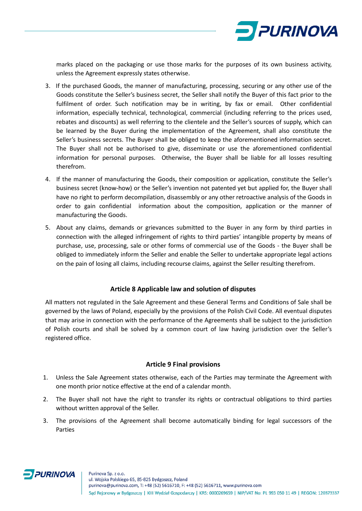

marks placed on the packaging or use those marks for the purposes of its own business activity, unless the Agreement expressly states otherwise.

- 3. If the purchased Goods, the manner of manufacturing, processing, securing or any other use of the Goods constitute the Seller's business secret, the Seller shall notify the Buyer of this fact prior to the fulfilment of order. Such notification may be in writing, by fax or email. Other confidential information, especially technical, technological, commercial (including referring to the prices used, rebates and discounts) as well referring to the clientele and the Seller's sources of supply, which can be learned by the Buyer during the implementation of the Agreement, shall also constitute the Seller's business secrets. The Buyer shall be obliged to keep the aforementioned information secret. The Buyer shall not be authorised to give, disseminate or use the aforementioned confidential information for personal purposes. Otherwise, the Buyer shall be liable for all losses resulting therefrom.
- 4. If the manner of manufacturing the Goods, their composition or application, constitute the Seller's business secret (know-how) or the Seller's invention not patented yet but applied for, the Buyer shall have no right to perform decompilation, disassembly or any other retroactive analysis of the Goods in order to gain confidential information about the composition, application or the manner of manufacturing the Goods.
- 5. About any claims, demands or grievances submitted to the Buyer in any form by third parties in connection with the alleged infringement of rights to third parties' intangible property by means of purchase, use, processing, sale or other forms of commercial use of the Goods - the Buyer shall be obliged to immediately inform the Seller and enable the Seller to undertake appropriate legal actions on the pain of losing all claims, including recourse claims, against the Seller resulting therefrom.

## **Article 8 Applicable law and solution of disputes**

All matters not regulated in the Sale Agreement and these General Terms and Conditions of Sale shall be governed by the laws of Poland, especially by the provisions of the Polish Civil Code. All eventual disputes that may arise in connection with the performance of the Agreements shall be subject to the jurisdiction of Polish courts and shall be solved by a common court of law having jurisdiction over the Seller's registered office.

### **Article 9 Final provisions**

- 1. Unless the Sale Agreement states otherwise, each of the Parties may terminate the Agreement with one month prior notice effective at the end of a calendar month.
- 2. The Buyer shall not have the right to transfer its rights or contractual obligations to third parties without written approval of the Seller.
- 3. The provisions of the Agreement shall become automatically binding for legal successors of the Parties